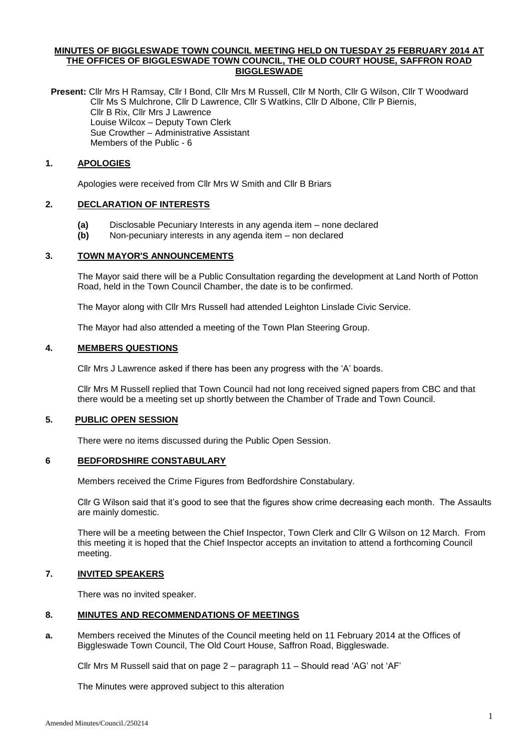### **MINUTES OF BIGGLESWADE TOWN COUNCIL MEETING HELD ON TUESDAY 25 FEBRUARY 2014 AT THE OFFICES OF BIGGLESWADE TOWN COUNCIL, THE OLD COURT HOUSE, SAFFRON ROAD BIGGLESWADE**

**Present:** Cllr Mrs H Ramsay, Cllr I Bond, Cllr Mrs M Russell, Cllr M North, Cllr G Wilson, Cllr T Woodward Cllr Ms S Mulchrone, Cllr D Lawrence, Cllr S Watkins, Cllr D Albone, Cllr P Biernis, Cllr B Rix, Cllr Mrs J Lawrence Louise Wilcox – Deputy Town Clerk Sue Crowther – Administrative Assistant Members of the Public - 6

#### **1. APOLOGIES**

Apologies were received from Cllr Mrs W Smith and Cllr B Briars

# **2. DECLARATION OF INTERESTS**

- **(a)** Disclosable Pecuniary Interests in any agenda item none declared
- **(b)** Non-pecuniary interests in any agenda item non declared

#### **3. TOWN MAYOR'S ANNOUNCEMENTS**

The Mayor said there will be a Public Consultation regarding the development at Land North of Potton Road, held in the Town Council Chamber, the date is to be confirmed.

The Mayor along with Cllr Mrs Russell had attended Leighton Linslade Civic Service.

The Mayor had also attended a meeting of the Town Plan Steering Group.

## **4. MEMBERS QUESTIONS**

Cllr Mrs J Lawrence asked if there has been any progress with the 'A' boards.

Cllr Mrs M Russell replied that Town Council had not long received signed papers from CBC and that there would be a meeting set up shortly between the Chamber of Trade and Town Council.

# **5. PUBLIC OPEN SESSION**

There were no items discussed during the Public Open Session.

#### **6 BEDFORDSHIRE CONSTABULARY**

Members received the Crime Figures from Bedfordshire Constabulary.

Cllr G Wilson said that it's good to see that the figures show crime decreasing each month. The Assaults are mainly domestic.

There will be a meeting between the Chief Inspector, Town Clerk and Cllr G Wilson on 12 March. From this meeting it is hoped that the Chief Inspector accepts an invitation to attend a forthcoming Council meeting.

#### **7. INVITED SPEAKERS**

There was no invited speaker.

# **8. MINUTES AND RECOMMENDATIONS OF MEETINGS**

**a.** Members received the Minutes of the Council meeting held on 11 February 2014 at the Offices of Biggleswade Town Council, The Old Court House, Saffron Road, Biggleswade.

Cllr Mrs M Russell said that on page 2 – paragraph 11 – Should read 'AG' not 'AF'

The Minutes were approved subject to this alteration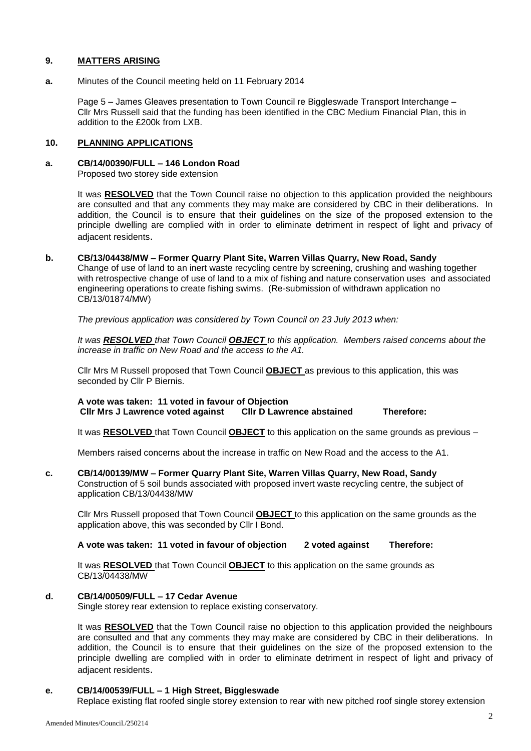### **9. MATTERS ARISING**

**a.** Minutes of the Council meeting held on 11 February 2014

Page 5 – James Gleaves presentation to Town Council re Biggleswade Transport Interchange – Cllr Mrs Russell said that the funding has been identified in the CBC Medium Financial Plan, this in addition to the £200k from LXB.

#### **10. PLANNING APPLICATIONS**

# **a. CB/14/00390/FULL – 146 London Road**

Proposed two storey side extension

It was **RESOLVED** that the Town Council raise no objection to this application provided the neighbours are consulted and that any comments they may make are considered by CBC in their deliberations. In addition, the Council is to ensure that their guidelines on the size of the proposed extension to the principle dwelling are complied with in order to eliminate detriment in respect of light and privacy of adjacent residents.

#### **b. CB/13/04438/MW – Former Quarry Plant Site, Warren Villas Quarry, New Road, Sandy**

Change of use of land to an inert waste recycling centre by screening, crushing and washing together with retrospective change of use of land to a mix of fishing and nature conservation uses and associated engineering operations to create fishing swims. (Re-submission of withdrawn application no CB/13/01874/MW)

*The previous application was considered by Town Council on 23 July 2013 when:*

*It was RESOLVED that Town Council OBJECT to this application. Members raised concerns about the increase in traffic on New Road and the access to the A1.*

Cllr Mrs M Russell proposed that Town Council **OBJECT** as previous to this application, this was seconded by Cllr P Biernis.

**A vote was taken: 11 voted in favour of Objection Cllr Mrs J Lawrence voted against Cllr D Lawrence abstained Therefore:**

It was **RESOLVED** that Town Council **OBJECT** to this application on the same grounds as previous –

Members raised concerns about the increase in traffic on New Road and the access to the A1.

#### **c. CB/14/00139/MW – Former Quarry Plant Site, Warren Villas Quarry, New Road, Sandy**

Construction of 5 soil bunds associated with proposed invert waste recycling centre, the subject of application CB/13/04438/MW

Cllr Mrs Russell proposed that Town Council **OBJECT** to this application on the same grounds as the application above, this was seconded by Cllr I Bond.

### **A vote was taken: 11 voted in favour of objection 2 voted against Therefore:**

It was **RESOLVED** that Town Council **OBJECT** to this application on the same grounds as CB/13/04438/MW

#### **d. CB/14/00509/FULL – 17 Cedar Avenue**

Single storey rear extension to replace existing conservatory.

It was **RESOLVED** that the Town Council raise no objection to this application provided the neighbours are consulted and that any comments they may make are considered by CBC in their deliberations. In addition, the Council is to ensure that their guidelines on the size of the proposed extension to the principle dwelling are complied with in order to eliminate detriment in respect of light and privacy of adjacent residents.

#### **e. CB/14/00539/FULL – 1 High Street, Biggleswade**

Replace existing flat roofed single storey extension to rear with new pitched roof single storey extension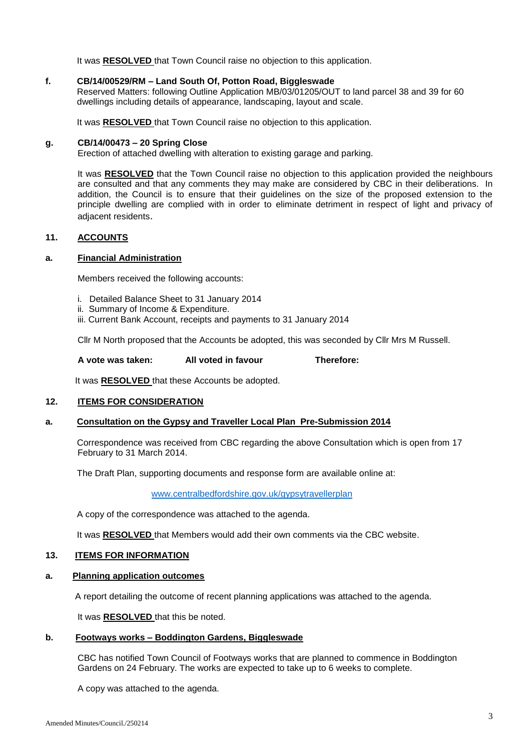It was **RESOLVED** that Town Council raise no objection to this application.

#### **f. CB/14/00529/RM – Land South Of, Potton Road, Biggleswade**

Reserved Matters: following Outline Application MB/03/01205/OUT to land parcel 38 and 39 for 60 dwellings including details of appearance, landscaping, layout and scale.

It was **RESOLVED** that Town Council raise no objection to this application.

#### **g. CB/14/00473 – 20 Spring Close**

Erection of attached dwelling with alteration to existing garage and parking.

It was **RESOLVED** that the Town Council raise no objection to this application provided the neighbours are consulted and that any comments they may make are considered by CBC in their deliberations. In addition, the Council is to ensure that their guidelines on the size of the proposed extension to the principle dwelling are complied with in order to eliminate detriment in respect of light and privacy of adjacent residents.

### **11. ACCOUNTS**

#### **a. Financial Administration**

Members received the following accounts:

- i. Detailed Balance Sheet to 31 January 2014
- ii. Summary of Income & Expenditure.
- iii. Current Bank Account, receipts and payments to 31 January 2014

Cllr M North proposed that the Accounts be adopted, this was seconded by Cllr Mrs M Russell.

#### **A vote was taken: All voted in favour Therefore:**

It was **RESOLVED** that these Accounts be adopted.

#### **12. ITEMS FOR CONSIDERATION**

#### **a. Consultation on the Gypsy and Traveller Local Plan Pre-Submission 2014**

Correspondence was received from CBC regarding the above Consultation which is open from 17 February to 31 March 2014.

The Draft Plan, supporting documents and response form are available online at:

[www.centralbedfordshire.gov.uk/gypsytravellerplan](http://www.centralbedfordshire.gov.uk/gypsytravellerplan)

A copy of the correspondence was attached to the agenda.

It was **RESOLVED** that Members would add their own comments via the CBC website.

# **13. ITEMS FOR INFORMATION**

# **a. Planning application outcomes**

A report detailing the outcome of recent planning applications was attached to the agenda.

It was **RESOLVED** that this be noted.

# **b. Footways works – Boddington Gardens, Biggleswade**

CBC has notified Town Council of Footways works that are planned to commence in Boddington Gardens on 24 February. The works are expected to take up to 6 weeks to complete.

A copy was attached to the agenda.